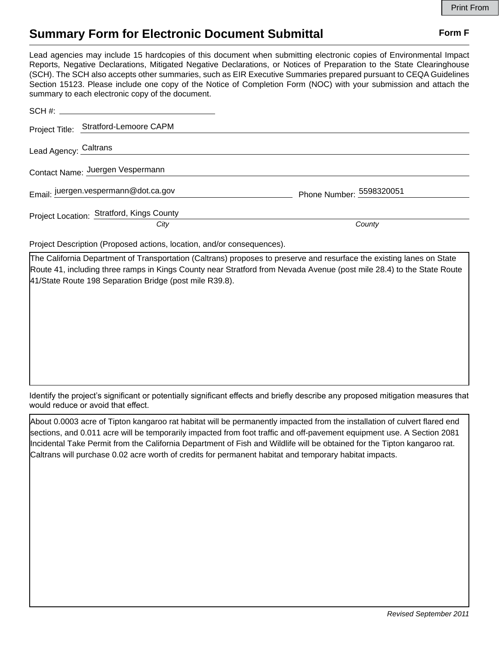## **Summary Form for Electronic Document Submittal Form F Form F**

Lead agencies may include 15 hardcopies of this document when submitting electronic copies of Environmental Impact Reports, Negative Declarations, Mitigated Negative Declarations, or Notices of Preparation to the State Clearinghouse (SCH). The SCH also accepts other summaries, such as EIR Executive Summaries prepared pursuant to CEQA Guidelines Section 15123. Please include one copy of the Notice of Completion Form (NOC) with your submission and attach the summary to each electronic copy of the document.

| Project Title: Stratford-Lemoore CAPM             |                          |
|---------------------------------------------------|--------------------------|
| Lead Agency: Caltrans                             |                          |
| Contact Name: Juergen Vespermann                  |                          |
| Email: juergen.vespermann@dot.ca.gov              | Phone Number: 5598320051 |
| Project Location: Stratford, Kings County<br>City | County                   |
|                                                   |                          |

Project Description (Proposed actions, location, and/or consequences).

The California Department of Transportation (Caltrans) proposes to preserve and resurface the existing lanes on State Route 41, including three ramps in Kings County near Stratford from Nevada Avenue (post mile 28.4) to the State Route 41/State Route 198 Separation Bridge (post mile R39.8).

Identify the project's significant or potentially significant effects and briefly describe any proposed mitigation measures that would reduce or avoid that effect.

About 0.0003 acre of Tipton kangaroo rat habitat will be permanently impacted from the installation of culvert flared end sections, and 0.011 acre will be temporarily impacted from foot traffic and off-pavement equipment use. A Section 2081 Incidental Take Permit from the California Department of Fish and Wildlife will be obtained for the Tipton kangaroo rat. Caltrans will purchase 0.02 acre worth of credits for permanent habitat and temporary habitat impacts.